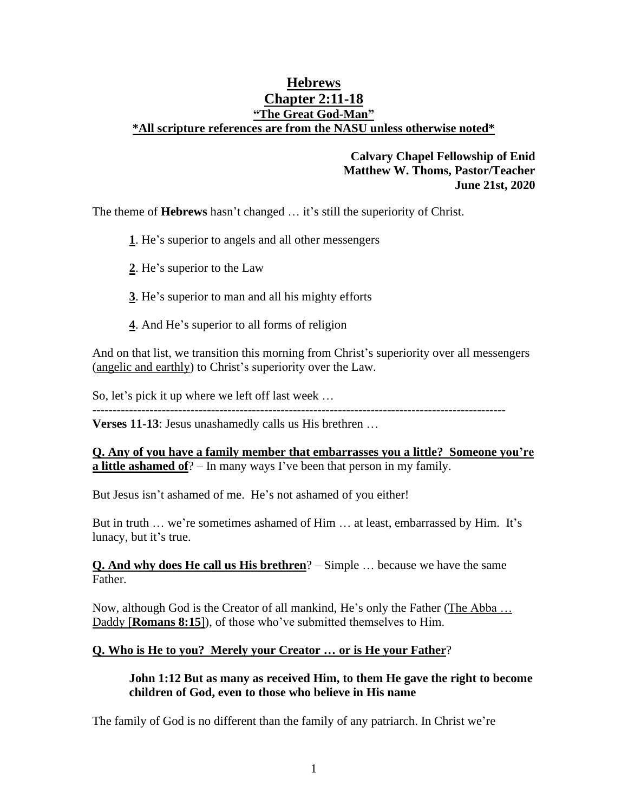# **Hebrews Chapter 2:11-18 "The Great God-Man" \*All scripture references are from the NASU unless otherwise noted\***

# **Calvary Chapel Fellowship of Enid Matthew W. Thoms, Pastor/Teacher June 21st, 2020**

The theme of **Hebrews** hasn't changed … it's still the superiority of Christ.

**1**. He's superior to angels and all other messengers

- **2**. He's superior to the Law
- **3**. He's superior to man and all his mighty efforts
- **4**. And He's superior to all forms of religion

And on that list, we transition this morning from Christ's superiority over all messengers (angelic and earthly) to Christ's superiority over the Law.

So, let's pick it up where we left off last week …

-----------------------------------------------------------------------------------------------------

**Verses 11-13**: Jesus unashamedly calls us His brethren …

**Q. Any of you have a family member that embarrasses you a little? Someone you're <u>a little ashamed of</u>**? – In many ways I've been that person in my family.

But Jesus isn't ashamed of me. He's not ashamed of you either!

But in truth … we're sometimes ashamed of Him … at least, embarrassed by Him. It's lunacy, but it's true.

**Q. And why does He call us His brethren**? – Simple … because we have the same Father.

Now, although God is the Creator of all mankind, He's only the Father (The Abba … Daddy [**Romans 8:15**]), of those who've submitted themselves to Him.

### **Q. Who is He to you? Merely your Creator … or is He your Father**?

### **John 1:12 But as many as received Him, to them He gave the right to become children of God, even to those who believe in His name**

The family of God is no different than the family of any patriarch. In Christ we're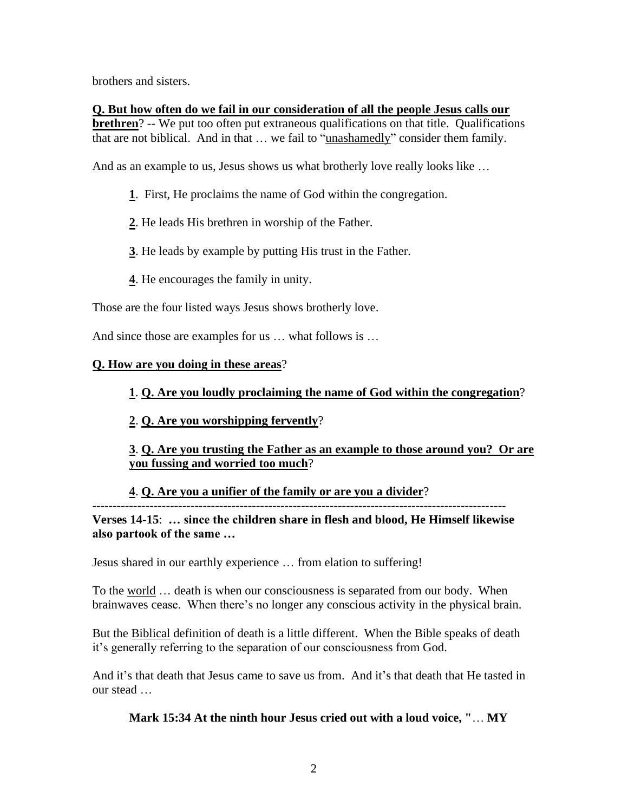brothers and sisters.

## **Q. But how often do we fail in our consideration of all the people Jesus calls our brethren**? -- We put too often put extraneous qualifications on that title. Qualifications that are not biblical. And in that … we fail to "unashamedly" consider them family.

And as an example to us, Jesus shows us what brotherly love really looks like ...

- **1**. First, He proclaims the name of God within the congregation.
- **2**. He leads His brethren in worship of the Father.
- **3**. He leads by example by putting His trust in the Father.
- **4**. He encourages the family in unity.

Those are the four listed ways Jesus shows brotherly love.

And since those are examples for us … what follows is …

## **Q. How are you doing in these areas**?

# **1**. **Q. Are you loudly proclaiming the name of God within the congregation**?

**2**. **Q. Are you worshipping fervently**?

**3**. **Q. Are you trusting the Father as an example to those around you? Or are you fussing and worried too much**?

# **4**. **Q. Are you a unifier of the family or are you a divider**?

----------------------------------------------------------------------------------------------------- **Verses 14-15**: **… since the children share in flesh and blood, He Himself likewise also partook of the same …** 

Jesus shared in our earthly experience … from elation to suffering!

To the world … death is when our consciousness is separated from our body. When brainwaves cease. When there's no longer any conscious activity in the physical brain.

But the Biblical definition of death is a little different. When the Bible speaks of death it's generally referring to the separation of our consciousness from God.

And it's that death that Jesus came to save us from. And it's that death that He tasted in our stead …

# **Mark 15:34 At the ninth hour Jesus cried out with a loud voice, "**… **MY**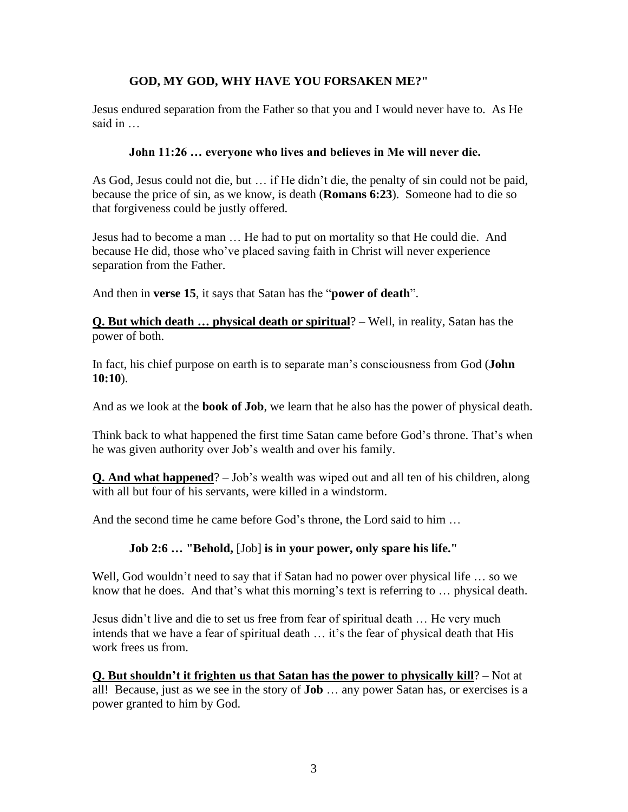# **GOD, MY GOD, WHY HAVE YOU FORSAKEN ME?"**

Jesus endured separation from the Father so that you and I would never have to. As He said in …

## **John 11:26 … everyone who lives and believes in Me will never die.**

As God, Jesus could not die, but … if He didn't die, the penalty of sin could not be paid, because the price of sin, as we know, is death (**Romans 6:23**). Someone had to die so that forgiveness could be justly offered.

Jesus had to become a man … He had to put on mortality so that He could die. And because He did, those who've placed saving faith in Christ will never experience separation from the Father.

And then in **verse 15**, it says that Satan has the "**power of death**".

**Q. But which death … physical death or spiritual**? – Well, in reality, Satan has the power of both.

In fact, his chief purpose on earth is to separate man's consciousness from God (**John 10:10**).

And as we look at the **book of Job**, we learn that he also has the power of physical death.

Think back to what happened the first time Satan came before God's throne. That's when he was given authority over Job's wealth and over his family.

**Q. And what happened**? – Job's wealth was wiped out and all ten of his children, along with all but four of his servants, were killed in a windstorm.

And the second time he came before God's throne, the Lord said to him …

### **Job 2:6 … "Behold,** [Job] **is in your power, only spare his life."**

Well, God wouldn't need to say that if Satan had no power over physical life ... so we know that he does. And that's what this morning's text is referring to … physical death.

Jesus didn't live and die to set us free from fear of spiritual death … He very much intends that we have a fear of spiritual death … it's the fear of physical death that His work frees us from.

**Q. But shouldn't it frighten us that Satan has the power to physically kill**? – Not at all! Because, just as we see in the story of **Job** … any power Satan has, or exercises is a power granted to him by God.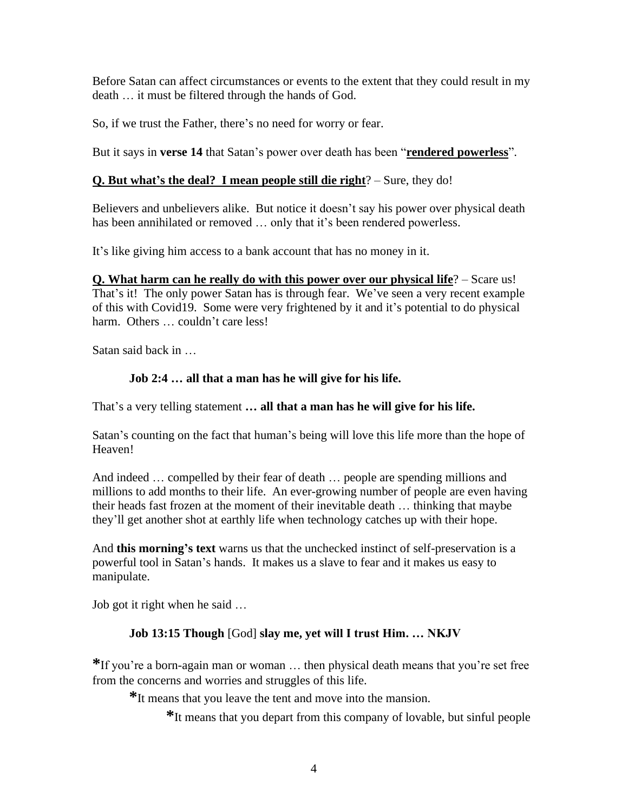Before Satan can affect circumstances or events to the extent that they could result in my death … it must be filtered through the hands of God.

So, if we trust the Father, there's no need for worry or fear.

But it says in **verse 14** that Satan's power over death has been "**rendered powerless**".

# **Q. But what's the deal? I mean people still die right**? – Sure, they do!

Believers and unbelievers alike. But notice it doesn't say his power over physical death has been annihilated or removed … only that it's been rendered powerless.

It's like giving him access to a bank account that has no money in it.

**Q. What harm can he really do with this power over our physical life**? – Scare us! That's it! The only power Satan has is through fear. We've seen a very recent example of this with Covid19. Some were very frightened by it and it's potential to do physical harm. Others ... couldn't care less!

Satan said back in …

### **Job 2:4 … all that a man has he will give for his life.**

That's a very telling statement **… all that a man has he will give for his life.** 

Satan's counting on the fact that human's being will love this life more than the hope of Heaven!

And indeed … compelled by their fear of death … people are spending millions and millions to add months to their life. An ever-growing number of people are even having their heads fast frozen at the moment of their inevitable death … thinking that maybe they'll get another shot at earthly life when technology catches up with their hope.

And **this morning's text** warns us that the unchecked instinct of self-preservation is a powerful tool in Satan's hands. It makes us a slave to fear and it makes us easy to manipulate.

Job got it right when he said …

### **Job 13:15 Though** [God] **slay me, yet will I trust Him. … NKJV**

**\***If you're a born-again man or woman … then physical death means that you're set free from the concerns and worries and struggles of this life.

**\***It means that you leave the tent and move into the mansion.

**\***It means that you depart from this company of lovable, but sinful people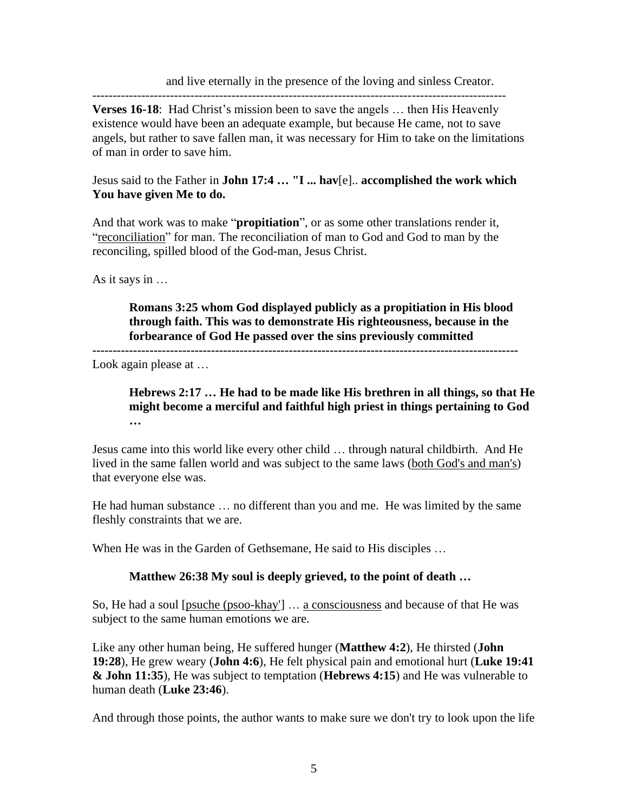and live eternally in the presence of the loving and sinless Creator.

----------------------------------------------------------------------------------------------------- **Verses 16-18:** Had Christ's mission been to save the angels ... then His Heavenly existence would have been an adequate example, but because He came, not to save angels, but rather to save fallen man, it was necessary for Him to take on the limitations of man in order to save him.

## Jesus said to the Father in **John 17:4 … "I ... hav**[e].. **accomplished the work which You have given Me to do.**

And that work was to make "**propitiation**", or as some other translations render it, "reconciliation" for man. The reconciliation of man to God and God to man by the reconciling, spilled blood of the God-man, Jesus Christ.

As it says in …

**Romans 3:25 whom God displayed publicly as a propitiation in His blood through faith. This was to demonstrate His righteousness, because in the forbearance of God He passed over the sins previously committed** 

**--------------------------------------------------------------------------------------------------------**

Look again please at …

**Hebrews 2:17 … He had to be made like His brethren in all things, so that He might become a merciful and faithful high priest in things pertaining to God …** 

Jesus came into this world like every other child … through natural childbirth. And He lived in the same fallen world and was subject to the same laws (both God's and man's) that everyone else was.

He had human substance … no different than you and me. He was limited by the same fleshly constraints that we are.

When He was in the Garden of Gethsemane, He said to His disciples …

# **Matthew 26:38 My soul is deeply grieved, to the point of death …**

So, He had a soul [psuche (psoo-khay'] … a consciousness and because of that He was subject to the same human emotions we are.

Like any other human being, He suffered hunger (**Matthew 4:2**), He thirsted (**John 19:28**), He grew weary (**John 4:6**), He felt physical pain and emotional hurt (**Luke 19:41 & John 11:35**), He was subject to temptation (**Hebrews 4:15**) and He was vulnerable to human death (**Luke 23:46**).

And through those points, the author wants to make sure we don't try to look upon the life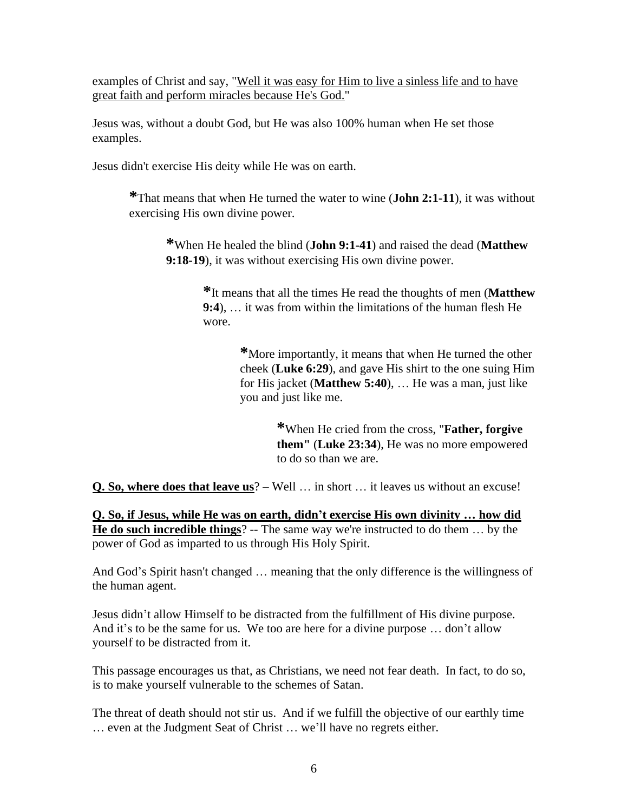examples of Christ and say, "Well it was easy for Him to live a sinless life and to have great faith and perform miracles because He's God."

Jesus was, without a doubt God, but He was also 100% human when He set those examples.

Jesus didn't exercise His deity while He was on earth.

**\***That means that when He turned the water to wine (**John 2:1-11**), it was without exercising His own divine power.

**\***When He healed the blind (**John 9:1-41**) and raised the dead (**Matthew 9:18-19**), it was without exercising His own divine power.

> **\***It means that all the times He read the thoughts of men (**Matthew 9:4**), … it was from within the limitations of the human flesh He wore.

> > **\***More importantly, it means that when He turned the other cheek (**Luke 6:29**), and gave His shirt to the one suing Him for His jacket (**Matthew 5:40**), … He was a man, just like you and just like me.

> > > **\***When He cried from the cross, "**Father, forgive them"** (**Luke 23:34**), He was no more empowered to do so than we are.

**Q. So, where does that leave us**? – Well … in short … it leaves us without an excuse!

**Q. So, if Jesus, while He was on earth, didn't exercise His own divinity … how did He do such incredible things**? -- The same way we're instructed to do them … by the power of God as imparted to us through His Holy Spirit.

And God's Spirit hasn't changed … meaning that the only difference is the willingness of the human agent.

Jesus didn't allow Himself to be distracted from the fulfillment of His divine purpose. And it's to be the same for us. We too are here for a divine purpose … don't allow yourself to be distracted from it.

This passage encourages us that, as Christians, we need not fear death. In fact, to do so, is to make yourself vulnerable to the schemes of Satan.

The threat of death should not stir us. And if we fulfill the objective of our earthly time … even at the Judgment Seat of Christ … we'll have no regrets either.